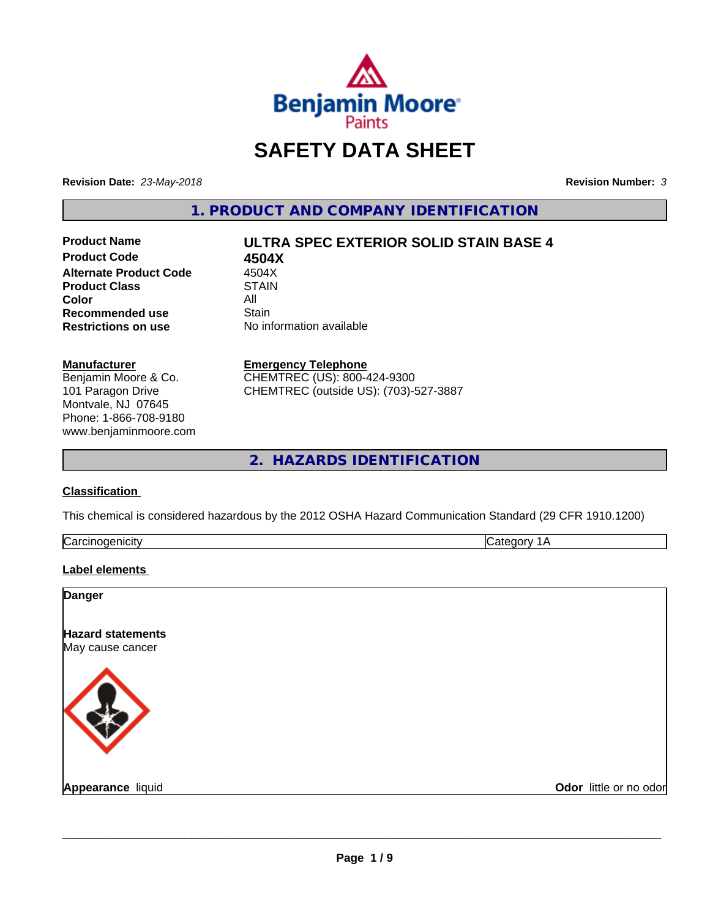

## **SAFETY DATA SHEET**

**Revision Date:** *23-May-2018* **Revision Number:** *3*

**1. PRODUCT AND COMPANY IDENTIFICATION**

**Product Code 4504X Alternate Product Code** 4504X<br> **Product Class** STAIN **Product Class Color** All All **Recommended use All Stain Recommended use**<br>Restrictions on use

# **Product Name ULTRA SPEC EXTERIOR SOLID STAIN BASE 4**

**No information available** 

#### **Manufacturer**

Benjamin Moore & Co. 101 Paragon Drive Montvale, NJ 07645 Phone: 1-866-708-9180 www.benjaminmoore.com

## **Emergency Telephone**

CHEMTREC (US): 800-424-9300 CHEMTREC (outside US): (703)-527-3887

**2. HAZARDS IDENTIFICATION**

## **Classification**

This chemical is considered hazardous by the 2012 OSHA Hazard Communication Standard (29 CFR 1910.1200)

| ترا |  |
|-----|--|
|     |  |

## **Label elements**

| <b>Danger</b>                                |                        |
|----------------------------------------------|------------------------|
| <b>Hazard statements</b><br>May cause cancer |                        |
|                                              |                        |
| Appearance liquid                            | Odor little or no odor |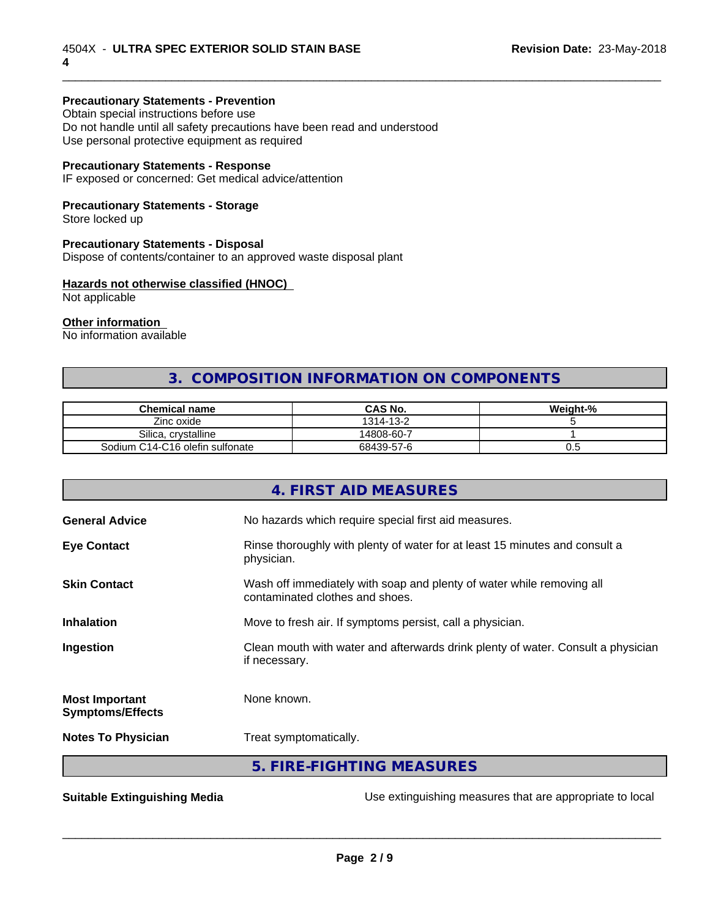## **Precautionary Statements - Prevention**

Obtain special instructions before use Do not handle until all safety precautions have been read and understood Use personal protective equipment as required

## **Precautionary Statements - Response**

IF exposed or concerned: Get medical advice/attention

## **Precautionary Statements - Storage**

Store locked up

#### **Precautionary Statements - Disposal**

Dispose of contents/container to an approved waste disposal plant

#### **Hazards not otherwise classified (HNOC)**

Not applicable

#### **Other information**

No information available

## **3. COMPOSITION INFORMATION ON COMPONENTS**

\_\_\_\_\_\_\_\_\_\_\_\_\_\_\_\_\_\_\_\_\_\_\_\_\_\_\_\_\_\_\_\_\_\_\_\_\_\_\_\_\_\_\_\_\_\_\_\_\_\_\_\_\_\_\_\_\_\_\_\_\_\_\_\_\_\_\_\_\_\_\_\_\_\_\_\_\_\_\_\_\_\_\_\_\_\_\_\_\_\_\_\_\_

| <b>Chemical name</b>            | <b>CAS No.</b> | Weight-% |
|---------------------------------|----------------|----------|
| Zinc oxide                      | 1314-13-2      |          |
| Silica.<br>. crvstalline        | 14808-60-7     |          |
| Sodium C14-C16 olefin sulfonate | 68439-57-6     | v.J      |

|                                                  | 4. FIRST AID MEASURES                                                                                    |
|--------------------------------------------------|----------------------------------------------------------------------------------------------------------|
| <b>General Advice</b>                            | No hazards which require special first aid measures.                                                     |
| <b>Eye Contact</b>                               | Rinse thoroughly with plenty of water for at least 15 minutes and consult a<br>physician.                |
| <b>Skin Contact</b>                              | Wash off immediately with soap and plenty of water while removing all<br>contaminated clothes and shoes. |
| <b>Inhalation</b>                                | Move to fresh air. If symptoms persist, call a physician.                                                |
| Ingestion                                        | Clean mouth with water and afterwards drink plenty of water. Consult a physician<br>if necessary.        |
| <b>Most Important</b><br><b>Symptoms/Effects</b> | None known.                                                                                              |
| <b>Notes To Physician</b>                        | Treat symptomatically.                                                                                   |
|                                                  | 5. FIRE-FIGHTING MEASURES                                                                                |

**Suitable Extinguishing Media** Media Use extinguishing measures that are appropriate to local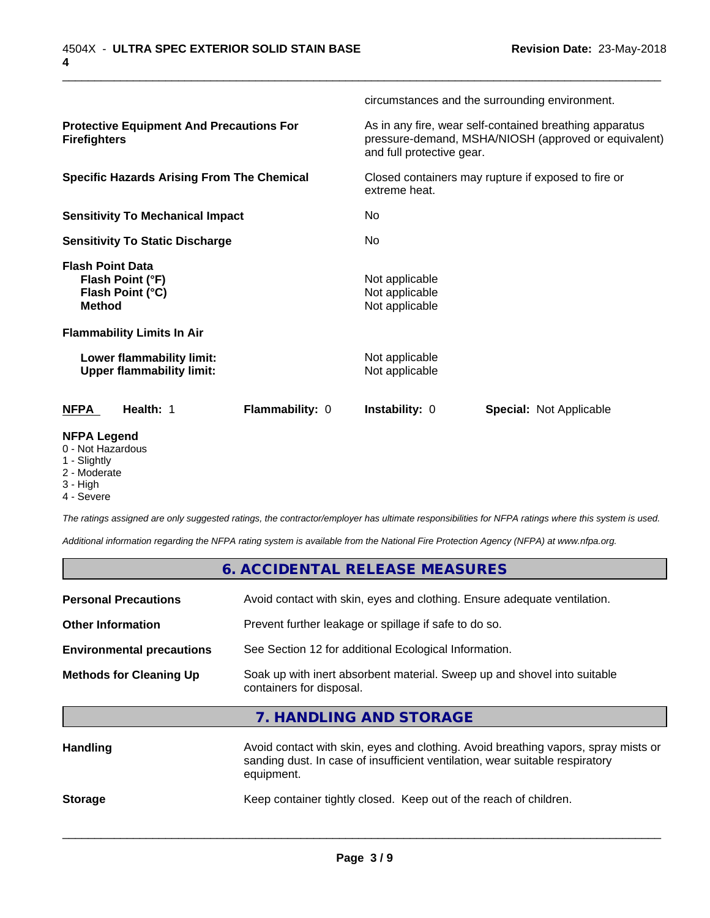|                                                                                  | circumstances and the surrounding environment.                                                                                               |  |
|----------------------------------------------------------------------------------|----------------------------------------------------------------------------------------------------------------------------------------------|--|
| <b>Protective Equipment And Precautions For</b><br><b>Firefighters</b>           | As in any fire, wear self-contained breathing apparatus<br>pressure-demand, MSHA/NIOSH (approved or equivalent)<br>and full protective gear. |  |
| <b>Specific Hazards Arising From The Chemical</b>                                | Closed containers may rupture if exposed to fire or<br>extreme heat.                                                                         |  |
| <b>Sensitivity To Mechanical Impact</b>                                          | No.                                                                                                                                          |  |
| <b>Sensitivity To Static Discharge</b>                                           | No.                                                                                                                                          |  |
| <b>Flash Point Data</b><br>Flash Point (°F)<br>Flash Point (°C)<br><b>Method</b> | Not applicable<br>Not applicable<br>Not applicable                                                                                           |  |
| <b>Flammability Limits In Air</b>                                                |                                                                                                                                              |  |
| Lower flammability limit:<br><b>Upper flammability limit:</b>                    | Not applicable<br>Not applicable                                                                                                             |  |
| Health: 1<br><b>Flammability: 0</b><br>NFPA                                      | <b>Instability: 0</b><br><b>Special: Not Applicable</b>                                                                                      |  |
| <b>NFPA Legend</b><br>0 - Not Hazardous                                          |                                                                                                                                              |  |

\_\_\_\_\_\_\_\_\_\_\_\_\_\_\_\_\_\_\_\_\_\_\_\_\_\_\_\_\_\_\_\_\_\_\_\_\_\_\_\_\_\_\_\_\_\_\_\_\_\_\_\_\_\_\_\_\_\_\_\_\_\_\_\_\_\_\_\_\_\_\_\_\_\_\_\_\_\_\_\_\_\_\_\_\_\_\_\_\_\_\_\_\_

- 
- 1 Slightly
- 2 Moderate
- 3 High
- 4 Severe

*The ratings assigned are only suggested ratings, the contractor/employer has ultimate responsibilities for NFPA ratings where this system is used.*

*Additional information regarding the NFPA rating system is available from the National Fire Protection Agency (NFPA) at www.nfpa.org.*

|                                  | 6. ACCIDENTAL RELEASE MEASURES                                                                                                                                                   |
|----------------------------------|----------------------------------------------------------------------------------------------------------------------------------------------------------------------------------|
| <b>Personal Precautions</b>      | Avoid contact with skin, eyes and clothing. Ensure adequate ventilation.                                                                                                         |
| <b>Other Information</b>         | Prevent further leakage or spillage if safe to do so.                                                                                                                            |
| <b>Environmental precautions</b> | See Section 12 for additional Ecological Information.                                                                                                                            |
| <b>Methods for Cleaning Up</b>   | Soak up with inert absorbent material. Sweep up and shovel into suitable<br>containers for disposal.                                                                             |
|                                  | 7. HANDLING AND STORAGE                                                                                                                                                          |
| <b>Handling</b>                  | Avoid contact with skin, eyes and clothing. Avoid breathing vapors, spray mists or<br>sanding dust. In case of insufficient ventilation, wear suitable respiratory<br>equipment. |
|                                  |                                                                                                                                                                                  |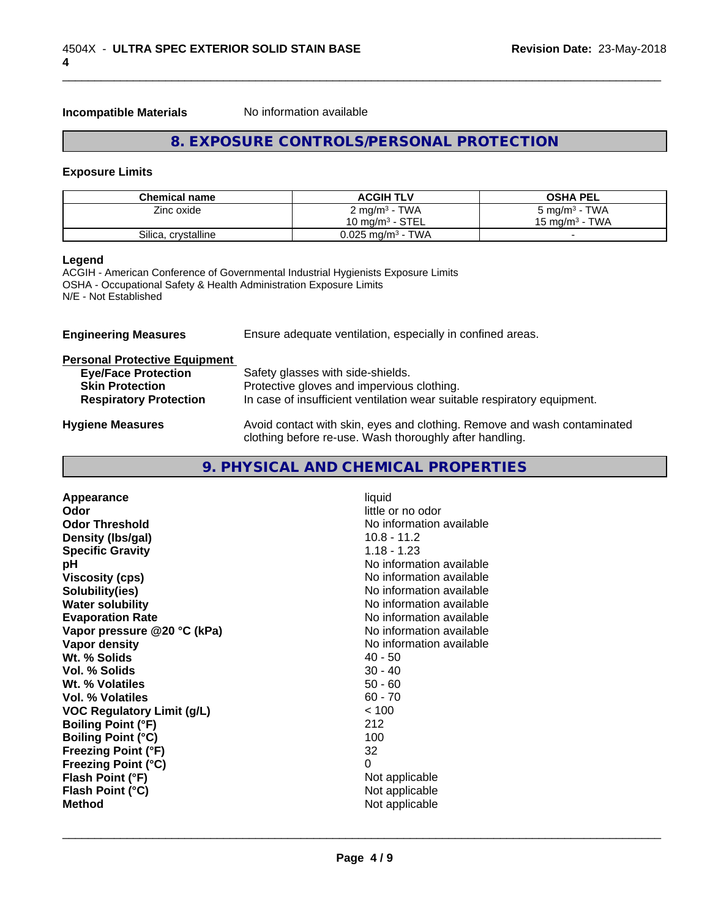**Incompatible Materials** No information available

## **8. EXPOSURE CONTROLS/PERSONAL PROTECTION**

\_\_\_\_\_\_\_\_\_\_\_\_\_\_\_\_\_\_\_\_\_\_\_\_\_\_\_\_\_\_\_\_\_\_\_\_\_\_\_\_\_\_\_\_\_\_\_\_\_\_\_\_\_\_\_\_\_\_\_\_\_\_\_\_\_\_\_\_\_\_\_\_\_\_\_\_\_\_\_\_\_\_\_\_\_\_\_\_\_\_\_\_\_

## **Exposure Limits**

| <b>Chemical name</b> | <b>ACGIH TLV</b>                | <b>OSHA PEL</b>          |
|----------------------|---------------------------------|--------------------------|
| Zinc oxide           | 2 mg/m <sup>3</sup> - TWA       | $5 \text{ mg/m}^3$ - TWA |
|                      | $10 \text{ mg/m}^3$ - STEL      | 15 mg/m $3$ - TWA        |
| Silica, crystalline  | $0.025$ mg/m <sup>3</sup> - TWA |                          |

## **Legend**

ACGIH - American Conference of Governmental Industrial Hygienists Exposure Limits OSHA - Occupational Safety & Health Administration Exposure Limits N/E - Not Established

| <b>Engineering Measures</b>          | Ensure adequate ventilation, especially in confined areas.                                                                          |
|--------------------------------------|-------------------------------------------------------------------------------------------------------------------------------------|
| <b>Personal Protective Equipment</b> |                                                                                                                                     |
| <b>Eye/Face Protection</b>           | Safety glasses with side-shields.                                                                                                   |
| <b>Skin Protection</b>               | Protective gloves and impervious clothing.                                                                                          |
| <b>Respiratory Protection</b>        | In case of insufficient ventilation wear suitable respiratory equipment.                                                            |
| <b>Hygiene Measures</b>              | Avoid contact with skin, eyes and clothing. Remove and wash contaminated<br>clothing before re-use. Wash thoroughly after handling. |

## **9. PHYSICAL AND CHEMICAL PROPERTIES**

| liquid<br>little or no odor<br>No information available<br>$10.8 - 11.2$<br>$1.18 - 1.23$<br>No information available<br>No information available<br>No information available<br>No information available |
|-----------------------------------------------------------------------------------------------------------------------------------------------------------------------------------------------------------|
| No information available<br>No information available                                                                                                                                                      |
| No information available<br>$40 - 50$                                                                                                                                                                     |
| $30 - 40$<br>$50 - 60$                                                                                                                                                                                    |
| $60 - 70$<br>< 100                                                                                                                                                                                        |
| 212<br>100<br>32                                                                                                                                                                                          |
| 0<br>Not applicable<br>Not applicable<br>Not applicable                                                                                                                                                   |
|                                                                                                                                                                                                           |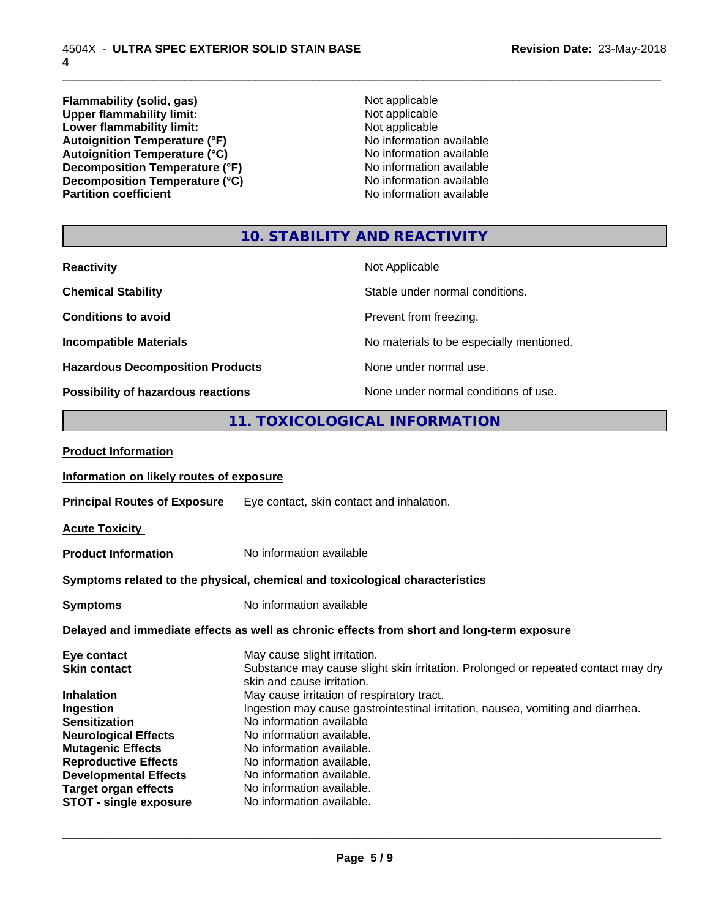**Flammability (solid, gas)** Not applicable **Upper flammability limit:** Not applicable **Not applicable Lower flammability limit:**<br> **Autoignition Temperature (°F)**<br>
Mo information available Autoignition Temperature (°F)<br>
Autoignition Temperature (°C)<br>
No information available Autoignition Temperature (°C)<br>
Decomposition Temperature (°F)<br>
No information available **Decomposition Temperature (°F)**<br> **Decomposition Temperature (°C)**<br>
No information available<br>
No information available **Decomposition Temperature (°C)**<br>Partition coefficient

**No information available** 

\_\_\_\_\_\_\_\_\_\_\_\_\_\_\_\_\_\_\_\_\_\_\_\_\_\_\_\_\_\_\_\_\_\_\_\_\_\_\_\_\_\_\_\_\_\_\_\_\_\_\_\_\_\_\_\_\_\_\_\_\_\_\_\_\_\_\_\_\_\_\_\_\_\_\_\_\_\_\_\_\_\_\_\_\_\_\_\_\_\_\_\_\_

## **10. STABILITY AND REACTIVITY**

| <b>Reactivity</b>                       | Not Applicable                           |
|-----------------------------------------|------------------------------------------|
| <b>Chemical Stability</b>               | Stable under normal conditions.          |
| <b>Conditions to avoid</b>              | Prevent from freezing.                   |
| <b>Incompatible Materials</b>           | No materials to be especially mentioned. |
| <b>Hazardous Decomposition Products</b> | None under normal use.                   |
| Possibility of hazardous reactions      | None under normal conditions of use.     |

## **11. TOXICOLOGICAL INFORMATION**

| <b>Product Information</b>               |                                                                                                                 |
|------------------------------------------|-----------------------------------------------------------------------------------------------------------------|
| Information on likely routes of exposure |                                                                                                                 |
|                                          | <b>Principal Routes of Exposure</b> Eye contact, skin contact and inhalation.                                   |
| <b>Acute Toxicity</b>                    |                                                                                                                 |
| <b>Product Information</b>               | No information available                                                                                        |
|                                          | Symptoms related to the physical, chemical and toxicological characteristics                                    |
| <b>Symptoms</b>                          | No information available                                                                                        |
|                                          | Delayed and immediate effects as well as chronic effects from short and long-term exposure                      |
| Eye contact                              | May cause slight irritation.                                                                                    |
| <b>Skin contact</b>                      | Substance may cause slight skin irritation. Prolonged or repeated contact may dry<br>skin and cause irritation. |
| <b>Inhalation</b>                        | May cause irritation of respiratory tract.                                                                      |
| Ingestion                                | Ingestion may cause gastrointestinal irritation, nausea, vomiting and diarrhea.                                 |
| <b>Sensitization</b>                     | No information available                                                                                        |
| <b>Neurological Effects</b>              | No information available.                                                                                       |
| <b>Mutagenic Effects</b>                 | No information available.                                                                                       |
| <b>Reproductive Effects</b>              | No information available.                                                                                       |
| <b>Developmental Effects</b>             | No information available.                                                                                       |
| <b>Target organ effects</b>              | No information available.                                                                                       |
| <b>STOT - single exposure</b>            | No information available.                                                                                       |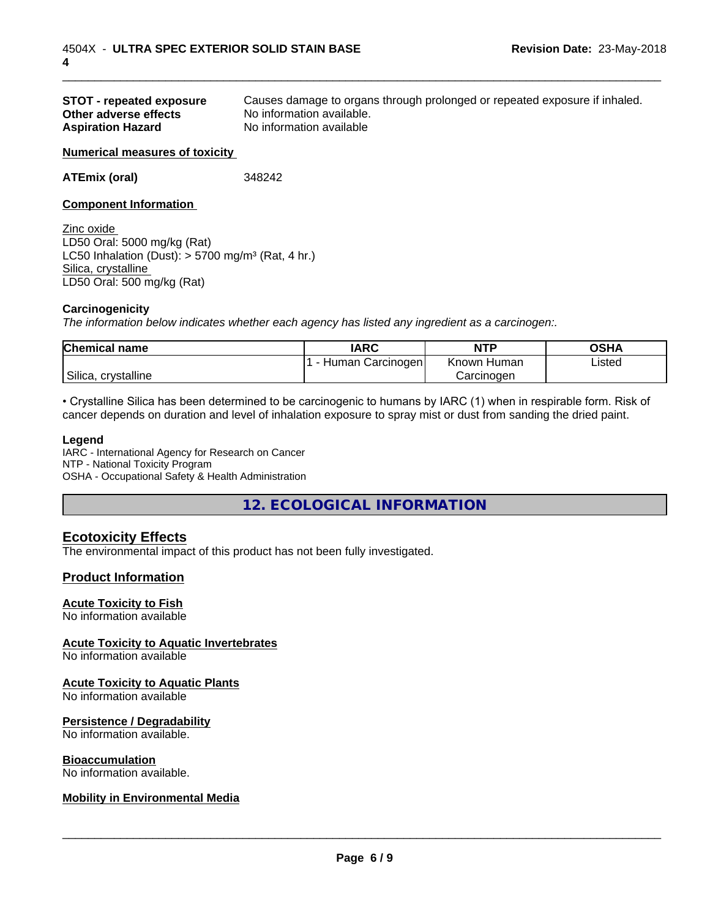| <b>STOT - repeated exposure</b> | Causes damage to organs through prolonged or repeated exposure if inhaled. |
|---------------------------------|----------------------------------------------------------------------------|
| Other adverse effects           | No information available.                                                  |
| <b>Aspiration Hazard</b>        | No information available                                                   |

\_\_\_\_\_\_\_\_\_\_\_\_\_\_\_\_\_\_\_\_\_\_\_\_\_\_\_\_\_\_\_\_\_\_\_\_\_\_\_\_\_\_\_\_\_\_\_\_\_\_\_\_\_\_\_\_\_\_\_\_\_\_\_\_\_\_\_\_\_\_\_\_\_\_\_\_\_\_\_\_\_\_\_\_\_\_\_\_\_\_\_\_\_

#### **Numerical measures of toxicity**

#### **ATEmix (oral)** 348242

## **Component Information**

Zinc oxide LD50 Oral: 5000 mg/kg (Rat) LC50 Inhalation (Dust):  $> 5700$  mg/m<sup>3</sup> (Rat, 4 hr.) Silica, crystalline LD50 Oral: 500 mg/kg (Rat)

## **Carcinogenicity**

*The information below indicateswhether each agency has listed any ingredient as a carcinogen:.*

| <b>Chemical name</b>     | <b>IARC</b>         | <b>NTP</b>     | OSHA   |
|--------------------------|---------------------|----------------|--------|
|                          | Carcinogen<br>Human | Known<br>Humar | Listed |
| . crystalline<br>Silica, |                     | Carcinogen     |        |

• Crystalline Silica has been determined to be carcinogenic to humans by IARC (1) when in respirable form. Risk of cancer depends on duration and level of inhalation exposure to spray mist or dust from sanding the dried paint.

#### **Legend**

IARC - International Agency for Research on Cancer NTP - National Toxicity Program OSHA - Occupational Safety & Health Administration

**12. ECOLOGICAL INFORMATION**

## **Ecotoxicity Effects**

The environmental impact of this product has not been fully investigated.

## **Product Information**

## **Acute Toxicity to Fish**

No information available

## **Acute Toxicity to Aquatic Invertebrates**

No information available

## **Acute Toxicity to Aquatic Plants**

No information available

## **Persistence / Degradability**

No information available.

## **Bioaccumulation**

No information available.

## **Mobility in Environmental Media**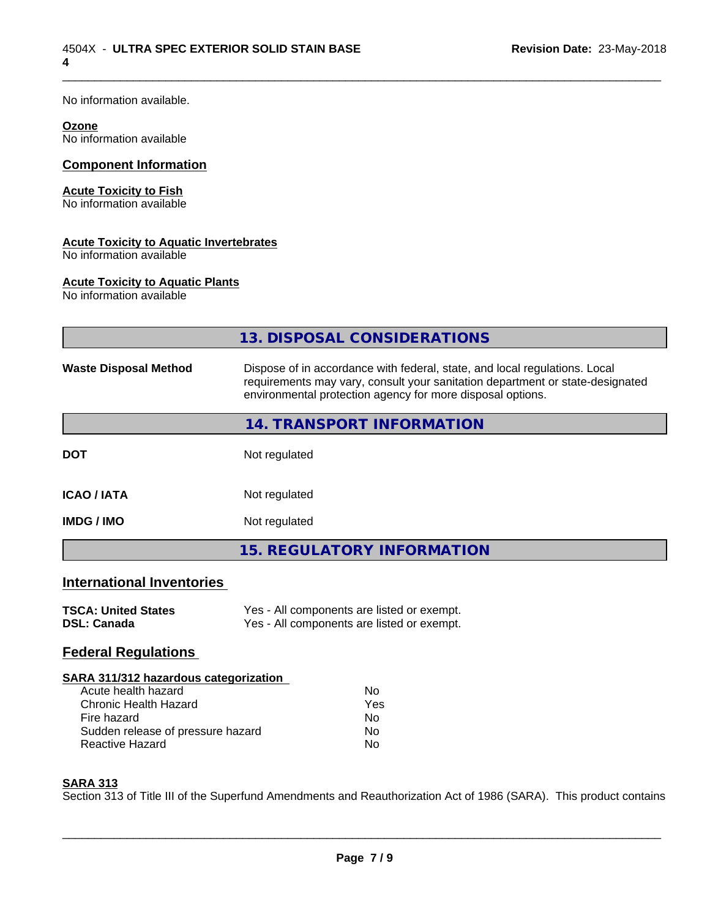No information available.

#### **Ozone**

No information available

## **Component Information**

## **Acute Toxicity to Fish**

No information available

## **Acute Toxicity to Aquatic Invertebrates**

No information available

## **Acute Toxicity to Aquatic Plants**

No information available

|                                                  | 13. DISPOSAL CONSIDERATIONS                                                                                                                                                                                               |  |  |
|--------------------------------------------------|---------------------------------------------------------------------------------------------------------------------------------------------------------------------------------------------------------------------------|--|--|
|                                                  |                                                                                                                                                                                                                           |  |  |
| <b>Waste Disposal Method</b>                     | Dispose of in accordance with federal, state, and local regulations. Local<br>requirements may vary, consult your sanitation department or state-designated<br>environmental protection agency for more disposal options. |  |  |
|                                                  | 14. TRANSPORT INFORMATION                                                                                                                                                                                                 |  |  |
| <b>DOT</b>                                       | Not regulated                                                                                                                                                                                                             |  |  |
| <b>ICAO / IATA</b>                               | Not regulated                                                                                                                                                                                                             |  |  |
| <b>IMDG/IMO</b>                                  | Not regulated                                                                                                                                                                                                             |  |  |
|                                                  | <b>15. REGULATORY INFORMATION</b>                                                                                                                                                                                         |  |  |
| <b>International Inventories</b>                 |                                                                                                                                                                                                                           |  |  |
| <b>TSCA: United States</b><br><b>DSL: Canada</b> | Yes - All components are listed or exempt.<br>Yes - All components are listed or exempt.                                                                                                                                  |  |  |
| <b>Federal Regulations</b>                       |                                                                                                                                                                                                                           |  |  |
| SARA 311/312 hazardous categorization            |                                                                                                                                                                                                                           |  |  |
| Acute health hazard                              | No                                                                                                                                                                                                                        |  |  |
| <b>Chronic Health Hazard</b>                     | Yes                                                                                                                                                                                                                       |  |  |
| Fire hazard                                      | <b>No</b>                                                                                                                                                                                                                 |  |  |
| Sudden release of pressure hazard                | No.                                                                                                                                                                                                                       |  |  |
| <b>Reactive Hazard</b>                           | No                                                                                                                                                                                                                        |  |  |
| <b>SARA 313</b>                                  |                                                                                                                                                                                                                           |  |  |

\_\_\_\_\_\_\_\_\_\_\_\_\_\_\_\_\_\_\_\_\_\_\_\_\_\_\_\_\_\_\_\_\_\_\_\_\_\_\_\_\_\_\_\_\_\_\_\_\_\_\_\_\_\_\_\_\_\_\_\_\_\_\_\_\_\_\_\_\_\_\_\_\_\_\_\_\_\_\_\_\_\_\_\_\_\_\_\_\_\_\_\_\_

Section 313 of Title III of the Superfund Amendments and Reauthorization Act of 1986 (SARA). This product contains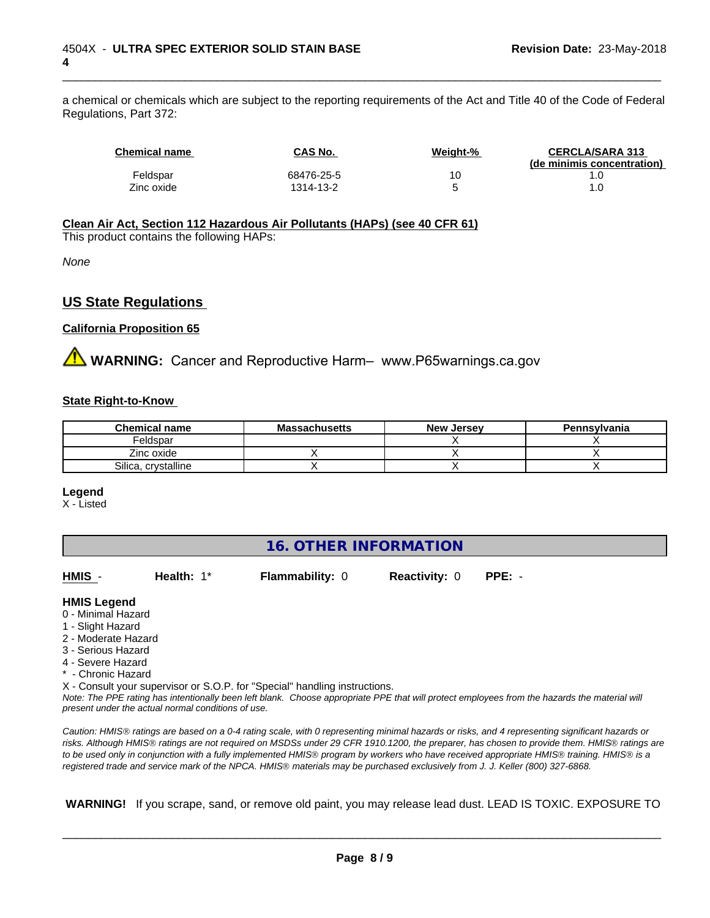a chemical or chemicals which are subject to the reporting requirements of the Act and Title 40 of the Code of Federal Regulations, Part 372:

| <b>Chemical name</b> | CAS No.    | Weight-% | <b>CERCLA/SARA 313</b><br>(de minimis concentration) |
|----------------------|------------|----------|------------------------------------------------------|
| Feldspar             | 68476-25-5 | 10       |                                                      |
| Zinc oxide           | 1314-13-2  |          |                                                      |

\_\_\_\_\_\_\_\_\_\_\_\_\_\_\_\_\_\_\_\_\_\_\_\_\_\_\_\_\_\_\_\_\_\_\_\_\_\_\_\_\_\_\_\_\_\_\_\_\_\_\_\_\_\_\_\_\_\_\_\_\_\_\_\_\_\_\_\_\_\_\_\_\_\_\_\_\_\_\_\_\_\_\_\_\_\_\_\_\_\_\_\_\_

## **Clean Air Act,Section 112 Hazardous Air Pollutants (HAPs) (see 40 CFR 61)**

This product contains the following HAPs:

*None*

## **US State Regulations**

## **California Proposition 65**

**AVIMARNING:** Cancer and Reproductive Harm– www.P65warnings.ca.gov

#### **State Right-to-Know**

| <b>Chemical name</b>  | <b>Massachusetts</b> | . Jersev<br><b>New</b> | Pennsylvania |
|-----------------------|----------------------|------------------------|--------------|
| Feldspar              |                      |                        |              |
| Zinc oxide            |                      |                        |              |
| crystalline<br>Silica |                      |                        |              |

#### **Legend**

X - Listed

| 16. OTHER INFORMATION |
|-----------------------|
|-----------------------|

| HMIS -                                                                                                                                                | Health: 1*                                         | <b>Flammability: 0</b>                                                     | <b>Reactivity: 0</b> | $PPE: -$                                                                                                                                      |
|-------------------------------------------------------------------------------------------------------------------------------------------------------|----------------------------------------------------|----------------------------------------------------------------------------|----------------------|-----------------------------------------------------------------------------------------------------------------------------------------------|
| <b>HMIS Legend</b><br>0 - Minimal Hazard<br>1 - Slight Hazard<br>2 - Moderate Hazard<br>3 - Serious Hazard<br>4 - Severe Hazard<br>* - Chronic Hazard | present under the actual normal conditions of use. | X - Consult your supervisor or S.O.P. for "Special" handling instructions. |                      | Note: The PPE rating has intentionally been left blank. Choose appropriate PPE that will protect employees from the hazards the material will |

*Caution: HMISÒ ratings are based on a 0-4 rating scale, with 0 representing minimal hazards or risks, and 4 representing significant hazards or risks. Although HMISÒ ratings are not required on MSDSs under 29 CFR 1910.1200, the preparer, has chosen to provide them. HMISÒ ratings are to be used only in conjunction with a fully implemented HMISÒ program by workers who have received appropriate HMISÒ training. HMISÒ is a registered trade and service mark of the NPCA. HMISÒ materials may be purchased exclusively from J. J. Keller (800) 327-6868.*

 **WARNING!** If you scrape, sand, or remove old paint, you may release lead dust. LEAD IS TOXIC. EXPOSURE TO